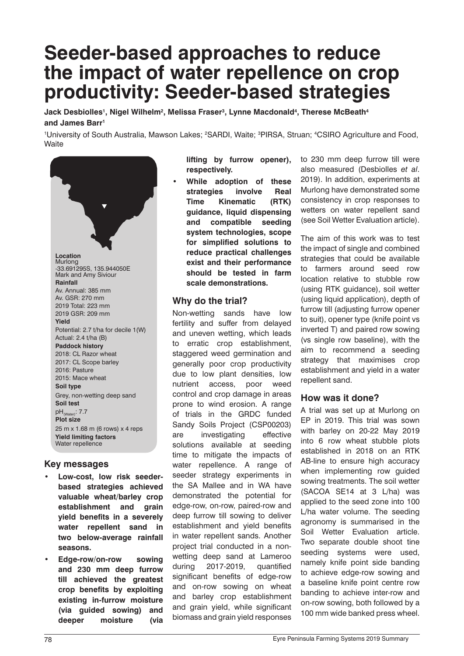# **Seeder-based approaches to reduce the impact of water repellence on crop productivity: Seeder-based strategies**

 $\,$ Jack Desbiolles', Nigel Wilhelm $^2$ , Melissa Fraser $^3$ , Lynne Macdonald $^4$ , Therese McBeath $^4$ **and James Barr1**

<sup>1</sup>University of South Australia, Mawson Lakes; <sup>2</sup>SARDI, Waite; <sup>3</sup>PIRSA, Struan; <sup>4</sup>CSIRO Agriculture and Food, **Waite** 



#### **Key messages**

- **• Low-cost, low risk seederbased strategies achieved valuable wheat/barley crop establishment and grain yield benefits in a severely water repellent sand in two below-average rainfall seasons.**
- **• Edge-row/on-row sowing and 230 mm deep furrow till achieved the greatest crop benefits by exploiting existing in-furrow moisture (via guided sowing) and deeper moisture (via**

**lifting by furrow opener), respectively.** 

**• While adoption of these strategies involve Real Time Kinematic (RTK) guidance, liquid dispensing and compatible seeding system technologies, scope for simplified solutions to reduce practical challenges exist and their performance should be tested in farm scale demonstrations.**

## **Why do the trial?**

Non-wetting sands have low fertility and suffer from delayed and uneven wetting, which leads to erratic crop establishment, staggered weed germination and generally poor crop productivity due to low plant densities, low nutrient access, poor weed control and crop damage in areas prone to wind erosion. A range of trials in the GRDC funded Sandy Soils Project (CSP00203) are investigating effective solutions available at seeding time to mitigate the impacts of water repellence. A range of seeder strategy experiments in the SA Mallee and in WA have demonstrated the potential for edge-row, on-row, paired-row and deep furrow till sowing to deliver establishment and yield benefits in water repellent sands. Another project trial conducted in a nonwetting deep sand at Lameroo during 2017-2019, quantified significant benefits of edge-row and on-row sowing on wheat and barley crop establishment and grain yield, while significant biomass and grain yield responses

to 230 mm deep furrow till were also measured (Desbiolles *et al*. 2019). In addition, experiments at Murlong have demonstrated some consistency in crop responses to wetters on water repellent sand (see Soil Wetter Evaluation article).

The aim of this work was to test the impact of single and combined strategies that could be available to farmers around seed row location relative to stubble row (using RTK guidance), soil wetter (using liquid application), depth of furrow till (adjusting furrow opener to suit), opener type (knife point vs inverted T) and paired row sowing (vs single row baseline), with the aim to recommend a seeding strategy that maximises crop establishment and yield in a water repellent sand.

## **How was it done?**

A trial was set up at Murlong on EP in 2019. This trial was sown with barley on 20-22 May 2019 into 6 row wheat stubble plots established in 2018 on an RTK AB-line to ensure high accuracy when implementing row guided sowing treatments. The soil wetter (SACOA SE14 at 3 L/ha) was applied to the seed zone into 100 L/ha water volume. The seeding agronomy is summarised in the Soil Wetter Evaluation article. Two separate double shoot tine seeding systems were used, namely knife point side banding to achieve edge-row sowing and a baseline knife point centre row banding to achieve inter-row and on-row sowing, both followed by a 100 mm wide banked press wheel.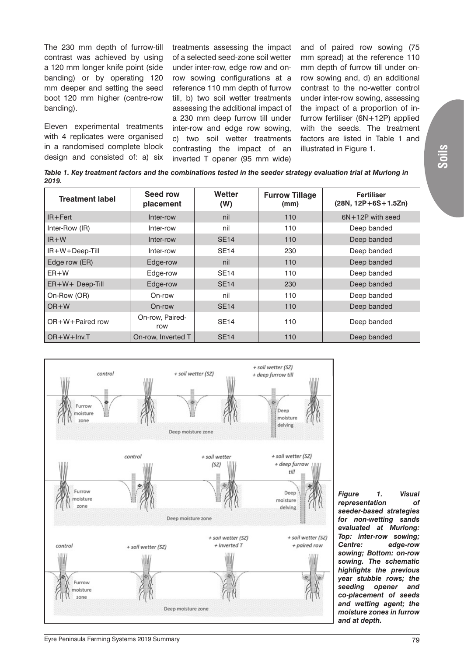The 230 mm depth of furrow-till contrast was achieved by using a 120 mm longer knife point (side banding) or by operating 120 mm deeper and setting the seed boot 120 mm higher (centre-row banding).

Eleven experimental treatments with 4 replicates were organised in a randomised complete block design and consisted of: a) six treatments assessing the impact of a selected seed-zone soil wetter under inter-row, edge row and onrow sowing configurations at a reference 110 mm depth of furrow till, b) two soil wetter treatments assessing the additional impact of a 230 mm deep furrow till under inter-row and edge row sowing, c) two soil wetter treatments contrasting the impact of an inverted T opener (95 mm wide)

and of paired row sowing (75 mm spread) at the reference 110 mm depth of furrow till under onrow sowing and, d) an additional contrast to the no-wetter control under inter-row sowing, assessing the impact of a proportion of infurrow fertiliser (6N+12P) applied with the seeds. The treatment factors are listed in Table 1 and illustrated in Figure 1.

*Table 1. Key treatment factors and the combinations tested in the seeder strategy evaluation trial at Murlong in 2019.*

| <b>Treatment label</b> | Seed row<br>placement  | Wetter<br>(W) | <b>Furrow Tillage</b><br>(mm) | <b>Fertiliser</b><br>$(28N, 12P+6S+1.5Zn)$ |
|------------------------|------------------------|---------------|-------------------------------|--------------------------------------------|
| $IR + Fert$            | Inter-row              | nil           | 110                           | $6N+12P$ with seed                         |
| Inter-Row (IR)         | Inter-row              | nil           | 110                           | Deep banded                                |
| $IR+W$                 | Inter-row              | <b>SE14</b>   | 110                           | Deep banded                                |
| $IR + W + Deep-Till$   | Inter-row              | <b>SE14</b>   | 230                           | Deep banded                                |
| Edge row (ER)          | Edge-row               | nil           | 110                           | Deep banded                                |
| $ER+W$                 | Edge-row               | <b>SE14</b>   | 110                           | Deep banded                                |
| $ER+W+Deep-Till$       | Edge-row               | <b>SE14</b>   | 230                           | Deep banded                                |
| On-Row (OR)            | On-row                 | nil           | 110                           | Deep banded                                |
| $OR+W$                 | On-row                 | <b>SE14</b>   | 110                           | Deep banded                                |
| OR+W+Paired row        | On-row, Paired-<br>row | <b>SE14</b>   | 110                           | Deep banded                                |
| $OR + W + Inv.T$       | On-row, Inverted T     | <b>SE14</b>   | 110                           | Deep banded                                |



*Figure 1. Visual representation of seeder-based strategies for non-wetting sands evaluated at Murlong: Top: inter-row sowing; Centre: edge-row sowing; Bottom: on-row sowing. The schematic highlights the previous year stubble rows; the seeding opener and co-placement of seeds and wetting agent; the moisture zones in furrow and at depth.*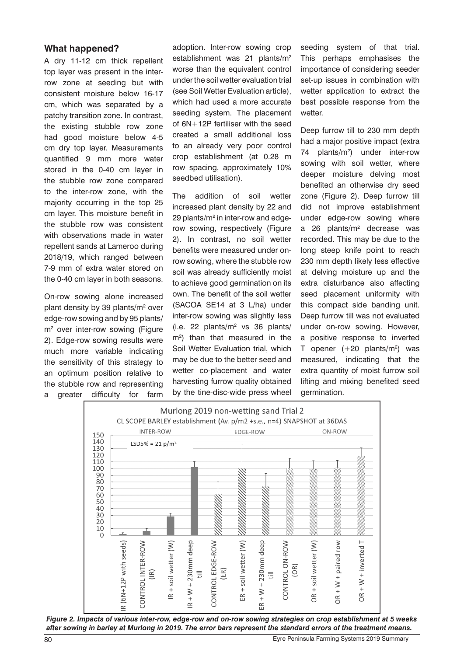### **What happened?**

A dry 11-12 cm thick repellent top layer was present in the interrow zone at seeding but with consistent moisture below 16-17 cm, which was separated by a patchy transition zone. In contrast, the existing stubble row zone had good moisture below 4-5 cm dry top layer. Measurements quantified 9 mm more water stored in the 0-40 cm layer in the stubble row zone compared to the inter-row zone, with the majority occurring in the top 25 cm layer. This moisture benefit in the stubble row was consistent with observations made in water repellent sands at Lameroo during 2018/19, which ranged between 7-9 mm of extra water stored on the 0-40 cm layer in both seasons.

On-row sowing alone increased plant density by 39 plants/m<sup>2</sup> over edge-row sowing and by 95 plants/ m<sup>2</sup> over inter-row sowing (Figure 2). Edge-row sowing results were much more variable indicating the sensitivity of this strategy to an optimum position relative to the stubble row and representing a greater difficulty for farm

adoption. Inter-row sowing crop establishment was 21 plants/m2 worse than the equivalent control under the soil wetter evaluation trial (see Soil Wetter Evaluation article), which had used a more accurate seeding system. The placement of 6N+12P fertiliser with the seed created a small additional loss to an already very poor control crop establishment (at 0.28 m row spacing, approximately 10% seedbed utilisation).

The addition of soil wetter increased plant density by 22 and 29 plants/m<sup>2</sup> in inter-row and edgerow sowing, respectively (Figure 2). In contrast, no soil wetter benefits were measured under onrow sowing, where the stubble row soil was already sufficiently moist to achieve good germination on its own. The benefit of the soil wetter (SACOA SE14 at 3 L/ha) under inter-row sowing was slightly less  $(i.e. 22$  plants/ $m<sup>2</sup>$  vs 36 plants/ m2 ) than that measured in the Soil Wetter Evaluation trial, which may be due to the better seed and wetter co-placement and water harvesting furrow quality obtained by the tine-disc-wide press wheel

seeding system of that trial. This perhaps emphasises the importance of considering seeder set-up issues in combination with wetter application to extract the best possible response from the wetter.

Deep furrow till to 230 mm depth had a major positive impact (extra 74 plants/m2 ) under inter-row sowing with soil wetter, where deeper moisture delving most benefited an otherwise dry seed zone (Figure 2). Deep furrow till did not improve establishment under edge-row sowing where a 26 plants/m<sup>2</sup> decrease was recorded. This may be due to the long steep knife point to reach 230 mm depth likely less effective at delving moisture up and the extra disturbance also affecting seed placement uniformity with this compact side banding unit. Deep furrow till was not evaluated under on-row sowing. However, a positive response to inverted T opener  $(+20 \text{ plants/m}^2)$  was measured, indicating that the extra quantity of moist furrow soil lifting and mixing benefited seed germination.



*Figure 2. Impacts of various inter-row, edge-row and on-row sowing strategies on crop establishment at 5 weeks after sowing in barley at Murlong in 2019. The error bars represent the standard errors of the treatment means.*